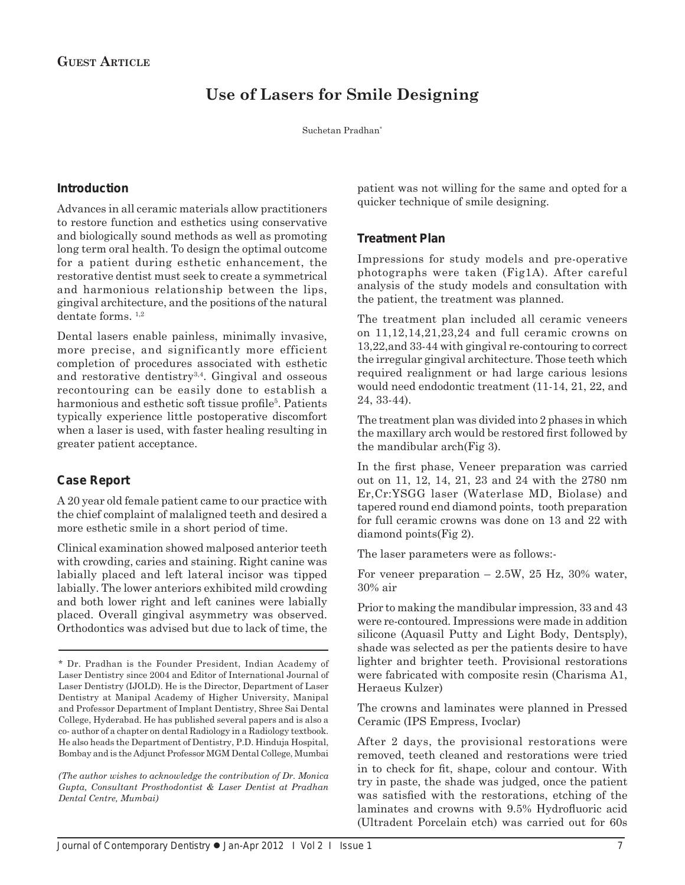# **Use of Lasers for Smile Designing**

Suchetan Pradhan\*

#### **Introduction**

Advances in all ceramic materials allow practitioners to restore function and esthetics using conservative and biologically sound methods as well as promoting long term oral health. To design the optimal outcome for a patient during esthetic enhancement, the restorative dentist must seek to create a symmetrical and harmonious relationship between the lips, gingival architecture, and the positions of the natural dentate forms. 1,2

Dental lasers enable painless, minimally invasive, more precise, and significantly more efficient completion of procedures associated with esthetic and restorative dentistry $3,4$ . Gingival and osseous recontouring can be easily done to establish a harmonious and esthetic soft tissue profile<sup>5</sup>. Patients typically experience little postoperative discomfort when a laser is used, with faster healing resulting in greater patient acceptance.

## **Case Report**

A 20 year old female patient came to our practice with the chief complaint of malaligned teeth and desired a more esthetic smile in a short period of time.

Clinical examination showed malposed anterior teeth with crowding, caries and staining. Right canine was labially placed and left lateral incisor was tipped labially. The lower anteriors exhibited mild crowding and both lower right and left canines were labially placed. Overall gingival asymmetry was observed. Orthodontics was advised but due to lack of time, the

*(The author wishes to acknowledge the contribution of Dr. Monica Gupta, Consultant Prosthodontist & Laser Dentist at Pradhan Dental Centre, Mumbai)*

patient was not willing for the same and opted for a quicker technique of smile designing.

#### **Treatment Plan**

Impressions for study models and pre-operative photographs were taken (Fig1A). After careful analysis of the study models and consultation with the patient, the treatment was planned.

The treatment plan included all ceramic veneers on 11,12,14,21,23,24 and full ceramic crowns on 13,22,and 33-44 with gingival re-contouring to correct the irregular gingival architecture. Those teeth which required realignment or had large carious lesions would need endodontic treatment (11-14, 21, 22, and 24, 33-44).

The treatment plan was divided into 2 phases in which the maxillary arch would be restored first followed by the mandibular arch(Fig 3).

In the first phase, Veneer preparation was carried out on 11, 12, 14, 21, 23 and 24 with the 2780 nm Er,Cr:YSGG laser (Waterlase MD, Biolase) and tapered round end diamond points, tooth preparation for full ceramic crowns was done on 13 and 22 with diamond points(Fig 2).

The laser parameters were as follows:-

For veneer preparation  $-2.5W$ , 25 Hz, 30% water, 30% air

Prior to making the mandibular impression, 33 and 43 were re-contoured. Impressions were made in addition silicone (Aquasil Putty and Light Body, Dentsply), shade was selected as per the patients desire to have lighter and brighter teeth. Provisional restorations were fabricated with composite resin (Charisma A1, Heraeus Kulzer)

The crowns and laminates were planned in Pressed Ceramic (IPS Empress, Ivoclar)

After 2 days, the provisional restorations were removed, teeth cleaned and restorations were tried in to check for fit, shape, colour and contour. With try in paste, the shade was judged, once the patient was satisfied with the restorations, etching of the laminates and crowns with 9.5% Hydrofluoric acid (Ultradent Porcelain etch) was carried out for 60s

<sup>\*</sup> Dr. Pradhan is the Founder President, Indian Academy of Laser Dentistry since 2004 and Editor of International Journal of Laser Dentistry (IJOLD). He is the Director, Department of Laser Dentistry at Manipal Academy of Higher University, Manipal and Professor Department of Implant Dentistry, Shree Sai Dental College, Hyderabad. He has published several papers and is also a co- author of a chapter on dental Radiology in a Radiology textbook. He also heads the Department of Dentistry, P.D. Hinduja Hospital, Bombay and is the Adjunct Professor MGM Dental College, Mumbai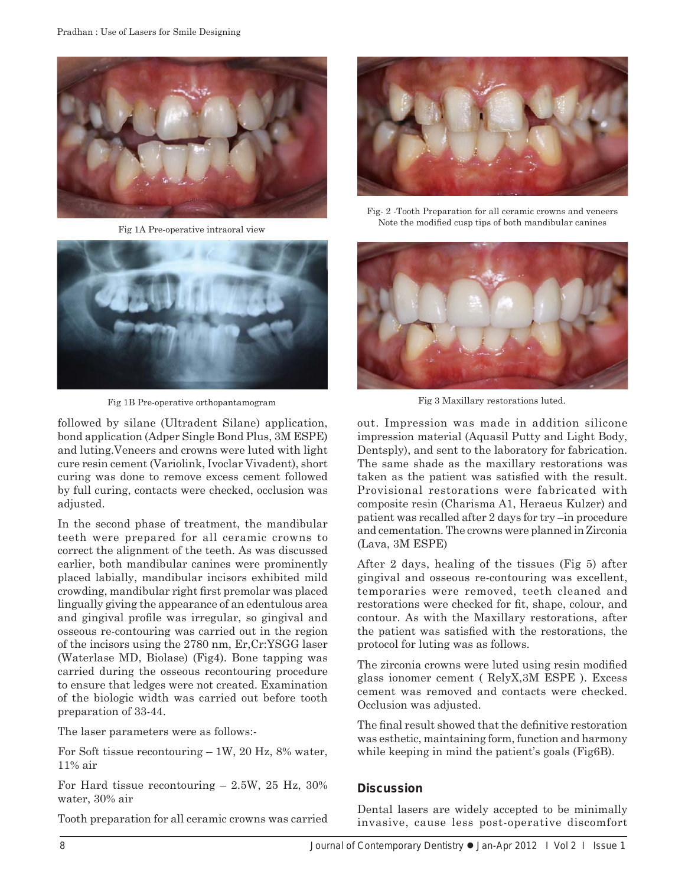

Fig 1A Pre-operative intraoral view



Fig 1B Pre-operative orthopantamogram

followed by silane (Ultradent Silane) application, bond application (Adper Single Bond Plus, 3M ESPE) and luting.Veneers and crowns were luted with light cure resin cement (Variolink, Ivoclar Vivadent), short curing was done to remove excess cement followed by full curing, contacts were checked, occlusion was adjusted.

In the second phase of treatment, the mandibular teeth were prepared for all ceramic crowns to correct the alignment of the teeth. As was discussed earlier, both mandibular canines were prominently placed labially, mandibular incisors exhibited mild crowding, mandibular right first premolar was placed lingually giving the appearance of an edentulous area and gingival profile was irregular, so gingival and osseous re-contouring was carried out in the region of the incisors using the 2780 nm, Er,Cr:YSGG laser (Waterlase MD, Biolase) (Fig4). Bone tapping was carried during the osseous recontouring procedure to ensure that ledges were not created. Examination of the biologic width was carried out before tooth preparation of 33-44.

The laser parameters were as follows:-

For Soft tissue recontouring – 1W, 20 Hz, 8% water, 11% air

For Hard tissue recontouring – 2.5W, 25 Hz, 30% water, 30% air

Tooth preparation for all ceramic crowns was carried



Fig- 2 -Tooth Preparation for all ceramic crowns and veneers Note the modified cusp tips of both mandibular canines



Fig 3 Maxillary restorations luted.

out. Impression was made in addition silicone impression material (Aquasil Putty and Light Body, Dentsply), and sent to the laboratory for fabrication. The same shade as the maxillary restorations was taken as the patient was satisfied with the result. Provisional restorations were fabricated with composite resin (Charisma A1, Heraeus Kulzer) and patient was recalled after 2 days for try –in procedure and cementation. The crowns were planned in Zirconia (Lava, 3M ESPE)

After 2 days, healing of the tissues (Fig 5) after gingival and osseous re-contouring was excellent, temporaries were removed, teeth cleaned and restorations were checked for fit, shape, colour, and contour. As with the Maxillary restorations, after the patient was satisfied with the restorations, the protocol for luting was as follows.

The zirconia crowns were luted using resin modified glass ionomer cement ( RelyX,3M ESPE ). Excess cement was removed and contacts were checked. Occlusion was adjusted.

The final result showed that the definitive restoration was esthetic, maintaining form, function and harmony while keeping in mind the patient's goals (Fig6B).

## **Discussion**

Dental lasers are widely accepted to be minimally invasive, cause less post-operative discomfort